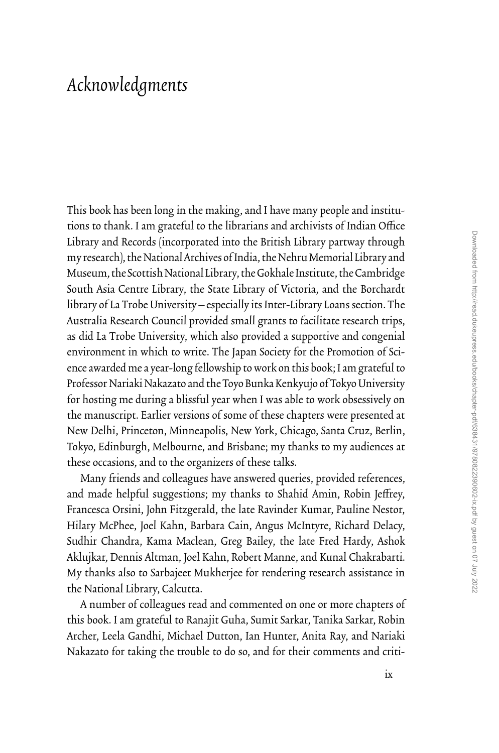## *Acknowledgments*

This book has been long in the making, and I have many people and institutions to thank. I am grateful to the librarians and archivists of Indian Office Library and Records (incorporated into the British Library partway through my research), the National Archives of India, the Nehru Memorial Library and Museum, the Scottish National Library, the Gokhale Institute, the Cambridge South Asia Centre Library, the State Library of Victoria, and the Borchardt library of La Trobe University—especially its Inter-Library Loans section. The Australia Research Council provided small grants to facilitate research trips, as did La Trobe University, which also provided a supportive and congenial environment in which to write. The Japan Society for the Promotion of Science awarded me a year-long fellowship to work on this book; I am grateful to Professor Nariaki Nakazato and the Toyo Bunka Kenkyujo of Tokyo University for hosting me during a blissful year when I was able to work obsessively on the manuscript. Earlier versions of some of these chapters were presented at New Delhi, Princeton, Minneapolis, New York, Chicago, Santa Cruz, Berlin, Tokyo, Edinburgh, Melbourne, and Brisbane; my thanks to my audiences at these occasions, and to the organizers of these talks.

Many friends and colleagues have answered queries, provided references, and made helpful suggestions; my thanks to Shahid Amin, Robin Jeffrey, Francesca Orsini, John Fitzgerald, the late Ravinder Kumar, Pauline Nestor, Hilary McPhee, Joel Kahn, Barbara Cain, Angus McIntyre, Richard Delacy, Sudhir Chandra, Kama Maclean, Greg Bailey, the late Fred Hardy, Ashok Aklujkar, Dennis Altman, Joel Kahn, Robert Manne, and Kunal Chakrabarti. My thanks also to Sarbajeet Mukherjee for rendering research assistance in the National Library, Calcutta.

A number of colleagues read and commented on one or more chapters of this book. I am grateful to Ranajit Guha, Sumit Sarkar, Tanika Sarkar, Robin Archer, Leela Gandhi, Michael Dutton, Ian Hunter, Anita Ray, and Nariaki Nakazato for taking the trouble to do so, and for their comments and criti-